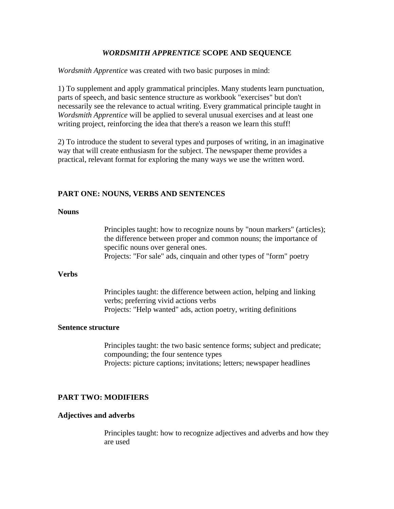## *WORDSMITH APPRENTICE* **SCOPE AND SEQUENCE**

*Wordsmith Apprentice* was created with two basic purposes in mind:

1) To supplement and apply grammatical principles. Many students learn punctuation, parts of speech, and basic sentence structure as workbook "exercises" but don't necessarily see the relevance to actual writing. Every grammatical principle taught in *Wordsmith Apprentice* will be applied to several unusual exercises and at least one writing project, reinforcing the idea that there's a reason we learn this stuff!

2) To introduce the student to several types and purposes of writing, in an imaginative way that will create enthusiasm for the subject. The newspaper theme provides a practical, relevant format for exploring the many ways we use the written word.

#### **PART ONE: NOUNS, VERBS AND SENTENCES**

#### **Nouns**

Principles taught: how to recognize nouns by "noun markers" (articles); the difference between proper and common nouns; the importance of specific nouns over general ones. Projects: "For sale" ads, cinquain and other types of "form" poetry

#### **Verbs**

Principles taught: the difference between action, helping and linking verbs; preferring vivid actions verbs Projects: "Help wanted" ads, action poetry, writing definitions

#### **Sentence structure**

Principles taught: the two basic sentence forms; subject and predicate; compounding; the four sentence types Projects: picture captions; invitations; letters; newspaper headlines

#### **PART TWO: MODIFIERS**

#### **Adjectives and adverbs**

Principles taught: how to recognize adjectives and adverbs and how they are used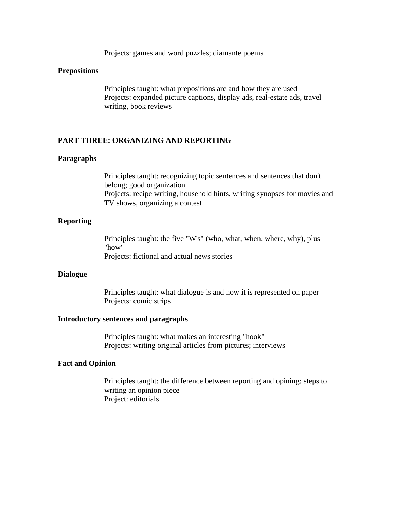Projects: games and word puzzles; diamante poems

#### **Prepositions**

Principles taught: what prepositions are and how they are used Projects: expanded picture captions, display ads, real-estate ads, travel writing, book reviews

#### **PART THREE: ORGANIZING AND REPORTING**

#### **Paragraphs**

Principles taught: recognizing topic sentences and sentences that don't belong; good organization Projects: recipe writing, household hints, writing synopses for movies and TV shows, organizing a contest

## **Reporting**

Principles taught: the five "W's" (who, what, when, where, why), plus "how" Projects: fictional and actual news stories

#### **Dialogue**

Principles taught: what dialogue is and how it is represented on paper Projects: comic strips

#### **Introductory sentences and paragraphs**

Principles taught: what makes an interesting "hook" Projects: writing original articles from pictures; interviews

#### **Fact and Opinion**

Principles taught: the difference between reporting and opining; steps to writing an opinion piece Project: editorials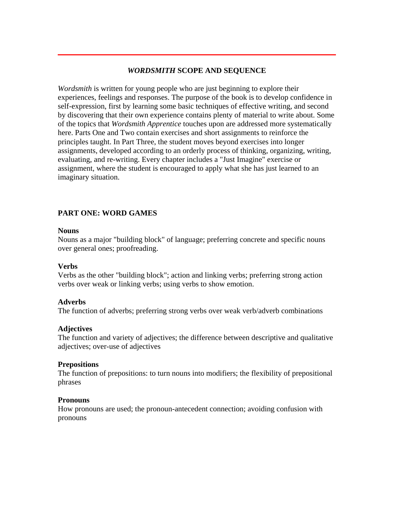# *WORDSMITH* **SCOPE AND SEQUENCE**

*Wordsmith* is written for young people who are just beginning to explore their experiences, feelings and responses. The purpose of the book is to develop confidence in self-expression, first by learning some basic techniques of effective writing, and second by discovering that their own experience contains plenty of material to write about. Some of the topics that *Wordsmith Apprentice* touches upon are addressed more systematically here. Parts One and Two contain exercises and short assignments to reinforce the principles taught. In Part Three, the student moves beyond exercises into longer assignments, developed according to an orderly process of thinking, organizing, writing, evaluating, and re-writing. Every chapter includes a "Just Imagine" exercise or assignment, where the student is encouraged to apply what she has just learned to an imaginary situation.

# **PART ONE: WORD GAMES**

### **Nouns**

Nouns as a major "building block" of language; preferring concrete and specific nouns over general ones; proofreading.

## **Verbs**

Verbs as the other "building block"; action and linking verbs; preferring strong action verbs over weak or linking verbs; using verbs to show emotion.

#### **Adverbs**

The function of adverbs; preferring strong verbs over weak verb/adverb combinations

## **Adjectives**

The function and variety of adjectives; the difference between descriptive and qualitative adjectives; over-use of adjectives

## **Prepositions**

The function of prepositions: to turn nouns into modifiers; the flexibility of prepositional phrases

## **Pronouns**

How pronouns are used; the pronoun-antecedent connection; avoiding confusion with pronouns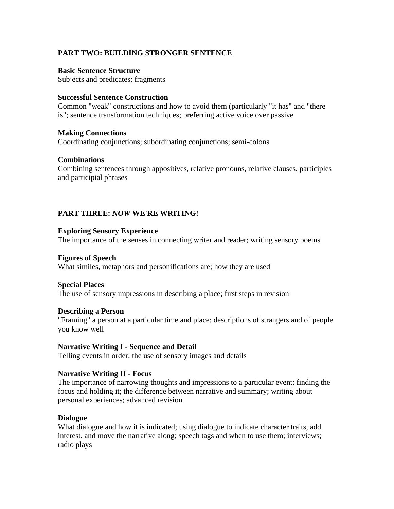# **PART TWO: BUILDING STRONGER SENTENCE**

## **Basic Sentence Structure**

Subjects and predicates; fragments

## **Successful Sentence Construction**

Common "weak" constructions and how to avoid them (particularly "it has" and "there is"; sentence transformation techniques; preferring active voice over passive

## **Making Connections**

Coordinating conjunctions; subordinating conjunctions; semi-colons

### **Combinations**

Combining sentences through appositives, relative pronouns, relative clauses, participles and participial phrases

# **PART THREE:** *NOW* **WE'RE WRITING!**

### **Exploring Sensory Experience**

The importance of the senses in connecting writer and reader; writing sensory poems

### **Figures of Speech**

What similes, metaphors and personifications are; how they are used

## **Special Places**

The use of sensory impressions in describing a place; first steps in revision

## **Describing a Person**

"Framing" a person at a particular time and place; descriptions of strangers and of people you know well

## **Narrative Writing I - Sequence and Detail**

Telling events in order; the use of sensory images and details

## **Narrative Writing II - Focus**

The importance of narrowing thoughts and impressions to a particular event; finding the focus and holding it; the difference between narrative and summary; writing about personal experiences; advanced revision

## **Dialogue**

What dialogue and how it is indicated; using dialogue to indicate character traits, add interest, and move the narrative along; speech tags and when to use them; interviews; radio plays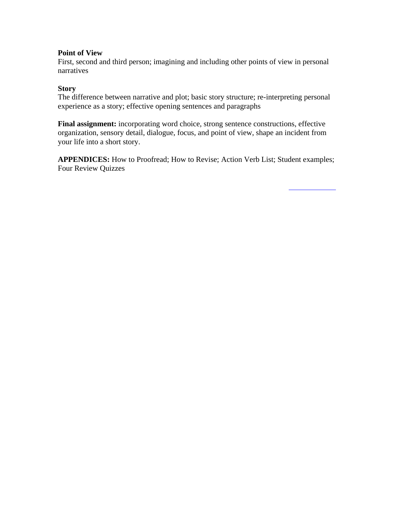## **Point of View**

First, second and third person; imagining and including other points of view in personal narratives

# **Story**

The difference between narrative and plot; basic story structure; re-interpreting personal experience as a story; effective opening sentences and paragraphs

**Final assignment:** incorporating word choice, strong sentence constructions, effective organization, sensory detail, dialogue, focus, and point of view, shape an incident from your life into a short story.

**APPENDICES:** How to Proofread; How to Revise; Action Verb List; Student examples; Four Review Quizzes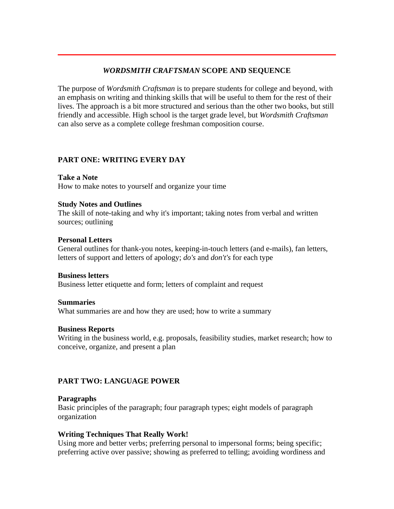# *WORDSMITH CRAFTSMAN* **SCOPE AND SEQUENCE**

The purpose of *Wordsmith Craftsman* is to prepare students for college and beyond, with an emphasis on writing and thinking skills that will be useful to them for the rest of their lives. The approach is a bit more structured and serious than the other two books, but still friendly and accessible. High school is the target grade level, but *Wordsmith Craftsman* can also serve as a complete college freshman composition course.

# **PART ONE: WRITING EVERY DAY**

**Take a Note** How to make notes to yourself and organize your time

# **Study Notes and Outlines**

The skill of note-taking and why it's important; taking notes from verbal and written sources; outlining

# **Personal Letters**

General outlines for thank-you notes, keeping-in-touch letters (and e-mails), fan letters, letters of support and letters of apology; *do's* and *don't's* for each type

## **Business letters**

Business letter etiquette and form; letters of complaint and request

## **Summaries**

What summaries are and how they are used; how to write a summary

## **Business Reports**

Writing in the business world, e.g. proposals, feasibility studies, market research; how to conceive, organize, and present a plan

# **PART TWO: LANGUAGE POWER**

# **Paragraphs**

Basic principles of the paragraph; four paragraph types; eight models of paragraph organization

# **Writing Techniques That Really Work!**

Using more and better verbs; preferring personal to impersonal forms; being specific; preferring active over passive; showing as preferred to telling; avoiding wordiness and